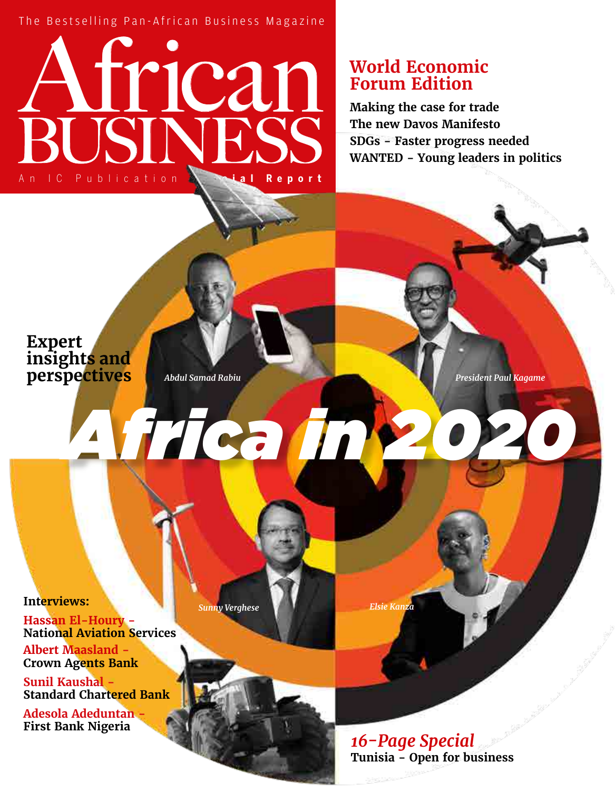The Bestselling Pan-African Business Magazine

# The Bestselling Pan-Afric<br> **And Contract Publication Special Report** African BUSINESS

## **World Economic Forum Edition**

**Making the case for trade The new Davos Manifesto SDGs - Faster progress needed WANTED - Young leaders in politics**

### **Expert insights and perspectives**

*Abdul Samad Rabiu*

*Africa in 2020*

*President Paul Kagame*

**Interviews:** 

**Hassan El-Houry - National Aviation Services**

**Albert Maasland - Crown Agents Bank**

**Sunil Kaushal - Standard Chartered Bank**

**Adesola Adeduntan - First Bank Nigeria**

*Sunny Verghese Elsie Kanza*

*16-Page Special* **Tunisia - Open for business**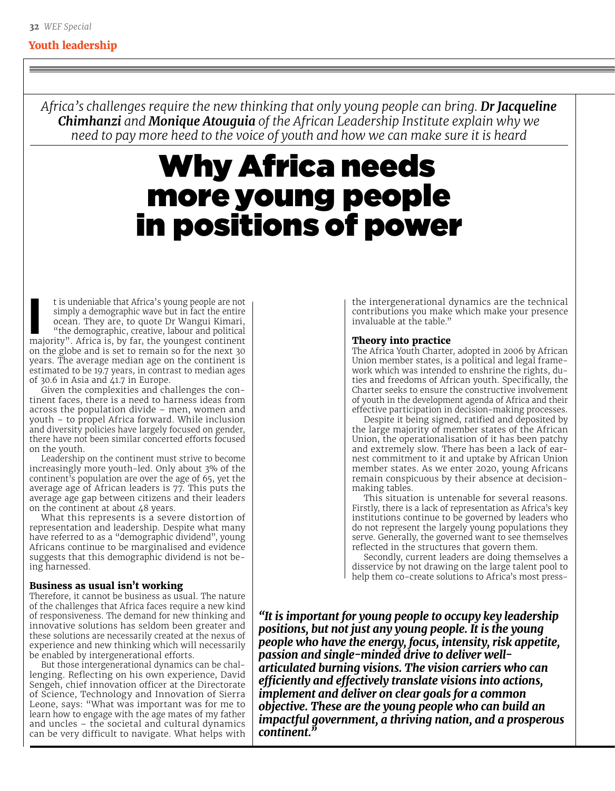#### **Youth leadership**

*Africa's challenges require the new thinking that only young people can bring. Dr Jacqueline Chimhanzi and Monique Atouguia of the African Leadership Institute explain why we need to pay more heed to the voice of youth and how we can make sure it is heard* 

# Why Africa needs more young people in positions of power

**I is undeniable that Africa's young people are not simply a demographic wave but in fact the entire ocean. They are, to quote Dr Wangui Kimari, "the demographic, creative, labour and political is hy far the volument conti** simply a demographic wave but in fact the entire ocean. They are, to quote Dr Wangui Kimari, majority". Africa is, by far, the youngest continent on the globe and is set to remain so for the next 30 years. The average median age on the continent is estimated to be 19.7 years, in contrast to median ages of 30.6 in Asia and  $41.7$  in Europe.

Given the complexities and challenges the continent faces, there is a need to harness ideas from across the population divide – men, women and youth – to propel Africa forward. While inclusion and diversity policies have largely focused on gender, there have not been similar concerted efforts focused on the youth.

Leadership on the continent must strive to become increasingly more youth-led. Only about 3% of the continent's population are over the age of 65, yet the average age of African leaders is 77. This puts the average age gap between citizens and their leaders on the continent at about 48 years.

What this represents is a severe distortion of representation and leadership. Despite what many have referred to as a "demographic dividend", young Africans continue to be marginalised and evidence suggests that this demographic dividend is not being harnessed.

#### **Business as usual isn't working**

Therefore, it cannot be business as usual. The nature of the challenges that Africa faces require a new kind of responsiveness. The demand for new thinking and innovative solutions has seldom been greater and these solutions are necessarily created at the nexus of experience and new thinking which will necessarily be enabled by intergenerational efforts.

But those intergenerational dynamics can be challenging. Reflecting on his own experience, David Sengeh, chief innovation officer at the Directorate of Science, Technology and Innovation of Sierra Leone, says: "What was important was for me to learn how to engage with the age mates of my father and uncles – the societal and cultural dynamics can be very difficult to navigate. What helps with the intergenerational dynamics are the technical contributions you make which make your presence invaluable at the table."

#### **Theory into practice**

The Africa Youth Charter, adopted in 2006 by African Union member states, is a political and legal framework which was intended to enshrine the rights, duties and freedoms of African youth. Specifically, the Charter seeks to ensure the constructive involvement of youth in the development agenda of Africa and their effective participation in decision-making processes.

Despite it being signed, ratified and deposited by the large majority of member states of the African Union, the operationalisation of it has been patchy and extremely slow. There has been a lack of earnest commitment to it and uptake by African Union member states. As we enter 2020, young Africans remain conspicuous by their absence at decisionmaking tables.

This situation is untenable for several reasons. Firstly, there is a lack of representation as Africa's key institutions continue to be governed by leaders who do not represent the largely young populations they serve. Generally, the governed want to see themselves reflected in the structures that govern them.

Secondly, current leaders are doing themselves a disservice by not drawing on the large talent pool to help them co-create solutions to Africa's most press-

*"It is important for young people to occupy key leadership positions, but not just any young people. It is the young people who have the energy, focus, intensity, risk appetite, passion and single-minded drive to deliver wellarticulated burning visions. The vision carriers who can efficiently and effectively translate visions into actions, implement and deliver on clear goals for a common objective. These are the young people who can build an impactful government, a thriving nation, and a prosperous continent."*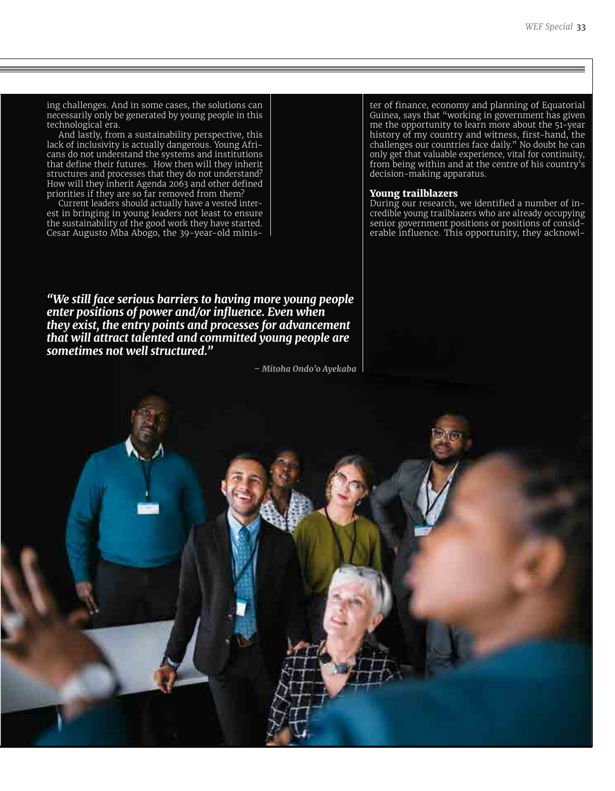ing challenges. And in some cases, the solutions can necessarily only be generated by young people in this technological era.

And lastly, from a sustainability perspective, this lack of inclusivity is actually dangerous. Young Africans do not understand the systems and institutions that define their futures. How then will they inherit structures and processes that they do not understand? How will they inherit Agenda 2063 and other defined priorities if they are so far removed from them?

Current leaders should actually have a vested interest in bringing in young leaders not least to ensure the sustainability of the good work they have started. Cesar Augusto Mba Abogo, the 39-year-old minis-

ter of finance, economy and planning of Equatorial Guinea, says that "working in government has given me the opportunity to learn more about the 51-year history of my country and witness, first-hand, the challenges our countries face daily." No doubt he can only get that valuable experience, vital for continuity, from being within and at the centre of his country's decision-making apparatus.

#### **Young trailblazers**

During our research, we identified a number of incredible young trailblazers who are already occupying senior government positions or positions of considerable influence. This opportunity, they acknowl-

*"We still face serious barriers to having more young people enter positions of power and/or influence. Even when they exist, the entry points and processes for advancement that will attract talented and committed young people are sometimes not well structured."*

*– Mitoha Ondo'o Ayekaba*

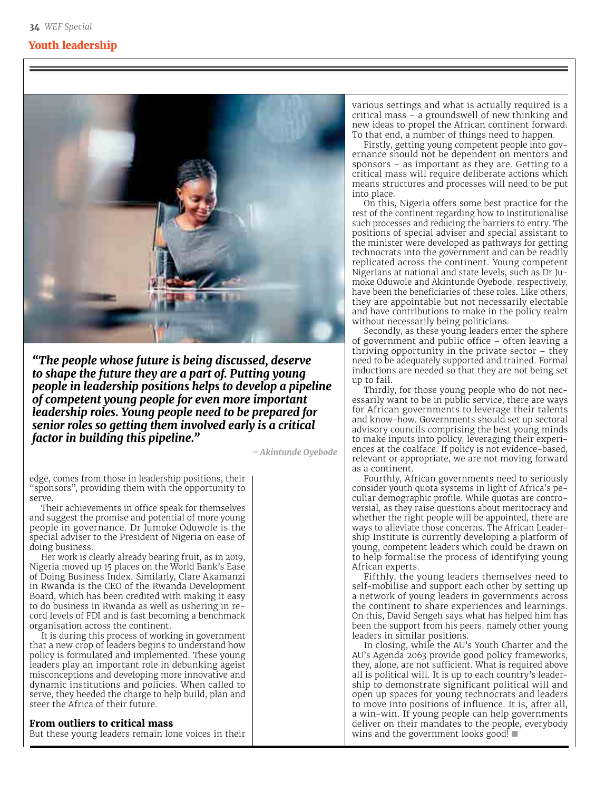#### **Youth leadership**



*"The people whose future is being discussed, deserve to shape the future they are a part of. Putting young people in leadership positions helps to develop a pipeline of competent young people for even more important leadership roles. Young people need to be prepared for senior roles so getting them involved early is a critical factor in building this pipeline."*

*– Akintunde Oyebode*

edge, comes from those in leadership positions, their "sponsors", providing them with the opportunity to serve.

Their achievements in office speak for themselves and suggest the promise and potential of more young people in governance. Dr Jumoke Oduwole is the special adviser to the President of Nigeria on ease of doing business.

Her work is clearly already bearing fruit, as in 2019, Nigeria moved up 15 places on the World Bank's Ease of Doing Business Index. Similarly, Clare Akamanzi in Rwanda is the CEO of the Rwanda Development Board, which has been credited with making it easy to do business in Rwanda as well as ushering in record levels of FDI and is fast becoming a benchmark organisation across the continent.

It is during this process of working in government that a new crop of leaders begins to understand how policy is formulated and implemented. These young leaders play an important role in debunking ageist misconceptions and developing more innovative and dynamic institutions and policies. When called to serve, they heeded the charge to help build, plan and steer the Africa of their future.

#### **From outliers to critical mass**

But these young leaders remain lone voices in their

various settings and what is actually required is a critical mass – a groundswell of new thinking and new ideas to propel the African continent forward. To that end, a number of things need to happen.

Firstly, getting young competent people into governance should not be dependent on mentors and sponsors – as important as they are. Getting to a critical mass will require deliberate actions which means structures and processes will need to be put into place.

On this, Nigeria offers some best practice for the rest of the continent regarding how to institutionalise such processes and reducing the barriers to entry. The positions of special adviser and special assistant to the minister were developed as pathways for getting technocrats into the government and can be readily replicated across the continent. Young competent Nigerians at national and state levels, such as Dr Jumoke Oduwole and Akintunde Oyebode, respectively, have been the beneficiaries of these roles. Like others, they are appointable but not necessarily electable and have contributions to make in the policy realm without necessarily being politicians.

Secondly, as these young leaders enter the sphere of government and public office – often leaving a thriving opportunity in the private sector – they need to be adequately supported and trained. Formal inductions are needed so that they are not being set up to fail.

Thirdly, for those young people who do not necessarily want to be in public service, there are ways for African governments to leverage their talents and know-how. Governments should set up sectoral advisory councils comprising the best young minds to make inputs into policy, leveraging their experiences at the coalface. If policy is not evidence-based, relevant or appropriate, we are not moving forward as a continent.

Fourthly, African governments need to seriously consider youth quota systems in light of Africa's peculiar demographic profile. While quotas are controversial, as they raise questions about meritocracy and whether the right people will be appointed, there are ways to alleviate those concerns. The African Leadership Institute is currently developing a platform of young, competent leaders which could be drawn on to help formalise the process of identifying young African experts.

Fifthly, the young leaders themselves need to self-mobilise and support each other by setting up a network of young leaders in governments across the continent to share experiences and learnings. On this, David Sengeh says what has helped him has been the support from his peers, namely other young leaders in similar positions.

In closing, while the AU's Youth Charter and the AU's Agenda 2063 provide good policy frameworks, they, alone, are not sufficient. What is required above all is political will. It is up to each country's leadership to demonstrate significant political will and open up spaces for young technocrats and leaders to move into positions of influence. It is, after all, a win-win. If young people can help governments deliver on their mandates to the people, everybody wins and the government looks good!  $\blacksquare$